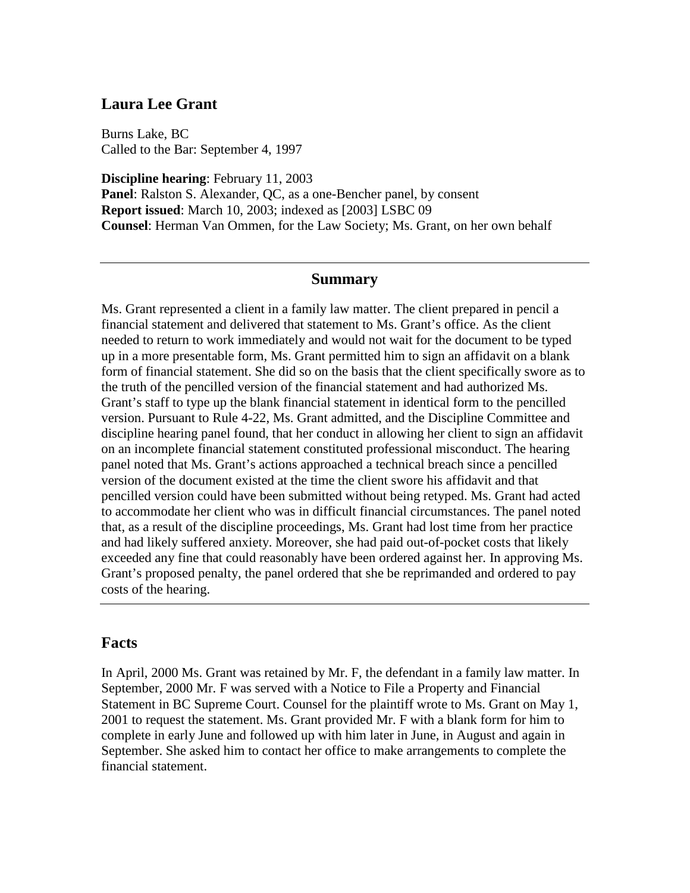## **Laura Lee Grant**

Burns Lake, BC Called to the Bar: September 4, 1997

**Discipline hearing**: February 11, 2003 **Panel**: Ralston S. Alexander, QC, as a one-Bencher panel, by consent **Report issued**: March 10, 2003; indexed as [2003] LSBC 09 **Counsel**: Herman Van Ommen, for the Law Society; Ms. Grant, on her own behalf

## **Summary**

Ms. Grant represented a client in a family law matter. The client prepared in pencil a financial statement and delivered that statement to Ms. Grant's office. As the client needed to return to work immediately and would not wait for the document to be typed up in a more presentable form, Ms. Grant permitted him to sign an affidavit on a blank form of financial statement. She did so on the basis that the client specifically swore as to the truth of the pencilled version of the financial statement and had authorized Ms. Grant's staff to type up the blank financial statement in identical form to the pencilled version. Pursuant to Rule 4-22, Ms. Grant admitted, and the Discipline Committee and discipline hearing panel found, that her conduct in allowing her client to sign an affidavit on an incomplete financial statement constituted professional misconduct. The hearing panel noted that Ms. Grant's actions approached a technical breach since a pencilled version of the document existed at the time the client swore his affidavit and that pencilled version could have been submitted without being retyped. Ms. Grant had acted to accommodate her client who was in difficult financial circumstances. The panel noted that, as a result of the discipline proceedings, Ms. Grant had lost time from her practice and had likely suffered anxiety. Moreover, she had paid out-of-pocket costs that likely exceeded any fine that could reasonably have been ordered against her. In approving Ms. Grant's proposed penalty, the panel ordered that she be reprimanded and ordered to pay costs of the hearing.

## **Facts**

In April, 2000 Ms. Grant was retained by Mr. F, the defendant in a family law matter. In September, 2000 Mr. F was served with a Notice to File a Property and Financial Statement in BC Supreme Court. Counsel for the plaintiff wrote to Ms. Grant on May 1, 2001 to request the statement. Ms. Grant provided Mr. F with a blank form for him to complete in early June and followed up with him later in June, in August and again in September. She asked him to contact her office to make arrangements to complete the financial statement.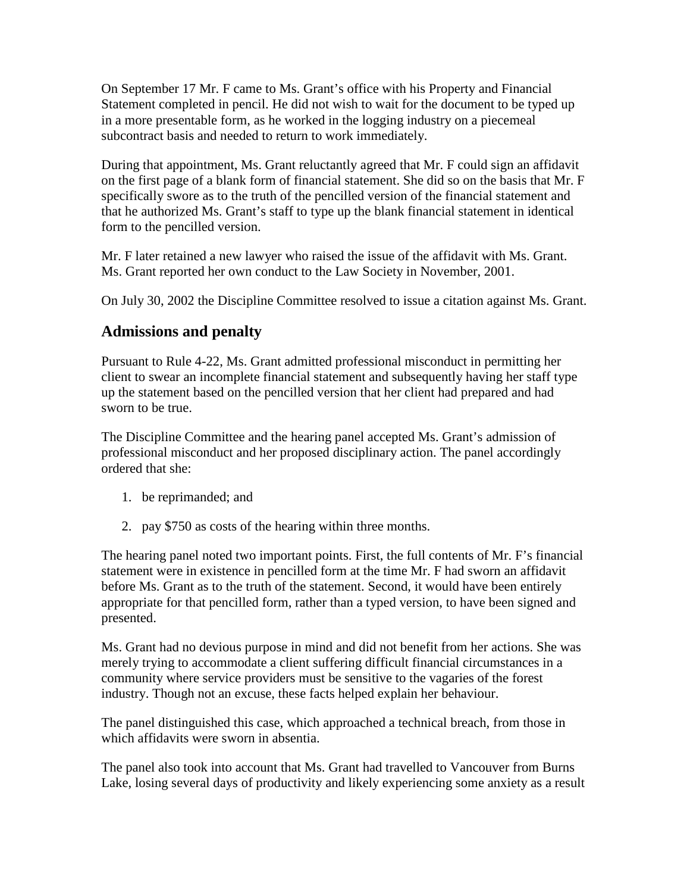On September 17 Mr. F came to Ms. Grant's office with his Property and Financial Statement completed in pencil. He did not wish to wait for the document to be typed up in a more presentable form, as he worked in the logging industry on a piecemeal subcontract basis and needed to return to work immediately.

During that appointment, Ms. Grant reluctantly agreed that Mr. F could sign an affidavit on the first page of a blank form of financial statement. She did so on the basis that Mr. F specifically swore as to the truth of the pencilled version of the financial statement and that he authorized Ms. Grant's staff to type up the blank financial statement in identical form to the pencilled version.

Mr. F later retained a new lawyer who raised the issue of the affidavit with Ms. Grant. Ms. Grant reported her own conduct to the Law Society in November, 2001.

On July 30, 2002 the Discipline Committee resolved to issue a citation against Ms. Grant.

## **Admissions and penalty**

Pursuant to Rule 4-22, Ms. Grant admitted professional misconduct in permitting her client to swear an incomplete financial statement and subsequently having her staff type up the statement based on the pencilled version that her client had prepared and had sworn to be true.

The Discipline Committee and the hearing panel accepted Ms. Grant's admission of professional misconduct and her proposed disciplinary action. The panel accordingly ordered that she:

- 1. be reprimanded; and
- 2. pay \$750 as costs of the hearing within three months.

The hearing panel noted two important points. First, the full contents of Mr. F's financial statement were in existence in pencilled form at the time Mr. F had sworn an affidavit before Ms. Grant as to the truth of the statement. Second, it would have been entirely appropriate for that pencilled form, rather than a typed version, to have been signed and presented.

Ms. Grant had no devious purpose in mind and did not benefit from her actions. She was merely trying to accommodate a client suffering difficult financial circumstances in a community where service providers must be sensitive to the vagaries of the forest industry. Though not an excuse, these facts helped explain her behaviour.

The panel distinguished this case, which approached a technical breach, from those in which affidavits were sworn in absentia.

The panel also took into account that Ms. Grant had travelled to Vancouver from Burns Lake, losing several days of productivity and likely experiencing some anxiety as a result